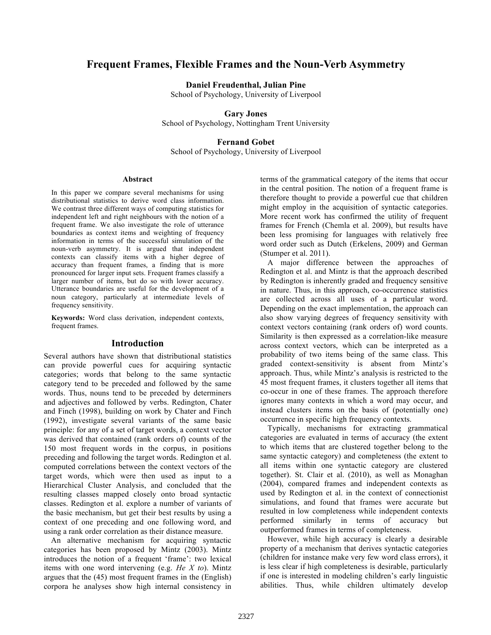# **Frequent Frames, Flexible Frames and the Noun-Verb Asymmetry**

**Daniel Freudenthal, Julian Pine** 

School of Psychology, University of Liverpool

### **Gary Jones**

School of Psychology, Nottingham Trent University

## **Fernand Gobet**

School of Psychology, University of Liverpool

#### **Abstract**

In this paper we compare several mechanisms for using distributional statistics to derive word class information. We contrast three different ways of computing statistics for independent left and right neighbours with the notion of a frequent frame. We also investigate the role of utterance boundaries as context items and weighting of frequency information in terms of the successful simulation of the noun-verb asymmetry. It is argued that independent contexts can classify items with a higher degree of accuracy than frequent frames, a finding that is more pronounced for larger input sets. Frequent frames classify a larger number of items, but do so with lower accuracy. Utterance boundaries are useful for the development of a noun category, particularly at intermediate levels of frequency sensitivity.

**Keywords:** Word class derivation, independent contexts, frequent frames.

### **Introduction**

Several authors have shown that distributional statistics can provide powerful cues for acquiring syntactic categories; words that belong to the same syntactic category tend to be preceded and followed by the same words. Thus, nouns tend to be preceded by determiners and adjectives and followed by verbs. Redington, Chater and Finch (1998), building on work by Chater and Finch (1992), investigate several variants of the same basic principle: for any of a set of target words, a context vector was derived that contained (rank orders of) counts of the 150 most frequent words in the corpus, in positions preceding and following the target words. Redington et al. computed correlations between the context vectors of the target words, which were then used as input to a Hierarchical Cluster Analysis, and concluded that the resulting classes mapped closely onto broad syntactic classes. Redington et al. explore a number of variants of the basic mechanism, but get their best results by using a context of one preceding and one following word, and using a rank order correlation as their distance measure.

An alternative mechanism for acquiring syntactic categories has been proposed by Mintz (2003). Mintz introduces the notion of a frequent 'frame': two lexical items with one word intervening (e.g. *He X to*). Mintz argues that the (45) most frequent frames in the (English) corpora he analyses show high internal consistency in

terms of the grammatical category of the items that occur in the central position. The notion of a frequent frame is therefore thought to provide a powerful cue that children might employ in the acquisition of syntactic categories. More recent work has confirmed the utility of frequent frames for French (Chemla et al. 2009), but results have been less promising for languages with relatively free word order such as Dutch (Erkelens, 2009) and German (Stumper et al. 2011).

A major difference between the approaches of Redington et al. and Mintz is that the approach described by Redington is inherently graded and frequency sensitive in nature. Thus, in this approach, co-occurrence statistics are collected across all uses of a particular word. Depending on the exact implementation, the approach can also show varying degrees of frequency sensitivity with context vectors containing (rank orders of) word counts. Similarity is then expressed as a correlation-like measure across context vectors, which can be interpreted as a probability of two items being of the same class. This graded context-sensitivity is absent from Mintz's approach. Thus, while Mintz's analysis is restricted to the 45 most frequent frames, it clusters together all items that co-occur in one of these frames. The approach therefore ignores many contexts in which a word may occur, and instead clusters items on the basis of (potentially one) occurrence in specific high frequency contexts.

Typically, mechanisms for extracting grammatical categories are evaluated in terms of accuracy (the extent to which items that are clustered together belong to the same syntactic category) and completeness (the extent to all items within one syntactic category are clustered together). St. Clair et al. (2010), as well as Monaghan (2004), compared frames and independent contexts as used by Redington et al. in the context of connectionist simulations, and found that frames were accurate but resulted in low completeness while independent contexts performed similarly in terms of accuracy but outperformed frames in terms of completeness.

However, while high accuracy is clearly a desirable property of a mechanism that derives syntactic categories (children for instance make very few word class errors), it is less clear if high completeness is desirable, particularly if one is interested in modeling children's early linguistic abilities. Thus, while children ultimately develop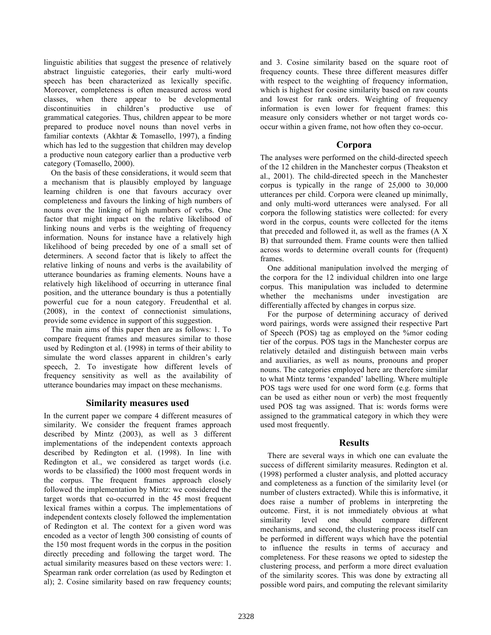linguistic abilities that suggest the presence of relatively abstract linguistic categories, their early multi-word speech has been characterized as lexically specific. Moreover, completeness is often measured across word classes, when there appear to be developmental discontinuities in children's productive use of grammatical categories. Thus, children appear to be more prepared to produce novel nouns than novel verbs in familiar contexts (Akhtar & Tomasello, 1997), a finding which has led to the suggestion that children may develop a productive noun category earlier than a productive verb category (Tomasello, 2000).

On the basis of these considerations, it would seem that a mechanism that is plausibly employed by language learning children is one that favours accuracy over completeness and favours the linking of high numbers of nouns over the linking of high numbers of verbs. One factor that might impact on the relative likelihood of linking nouns and verbs is the weighting of frequency information. Nouns for instance have a relatively high likelihood of being preceded by one of a small set of determiners. A second factor that is likely to affect the relative linking of nouns and verbs is the availability of utterance boundaries as framing elements. Nouns have a relatively high likelihood of occurring in utterance final position, and the utterance boundary is thus a potentially powerful cue for a noun category. Freudenthal et al. (2008), in the context of connectionist simulations, provide some evidence in support of this suggestion.

The main aims of this paper then are as follows: 1. To compare frequent frames and measures similar to those used by Redington et al. (1998) in terms of their ability to simulate the word classes apparent in children's early speech, 2. To investigate how different levels of frequency sensitivity as well as the availability of utterance boundaries may impact on these mechanisms.

### **Similarity measures used**

In the current paper we compare 4 different measures of similarity. We consider the frequent frames approach described by Mintz (2003), as well as 3 different implementations of the independent contexts approach described by Redington et al. (1998). In line with Redington et al., we considered as target words (i.e. words to be classified) the 1000 most frequent words in the corpus. The frequent frames approach closely followed the implementation by Mintz: we considered the target words that co-occurred in the 45 most frequent lexical frames within a corpus. The implementations of independent contexts closely followed the implementation of Redington et al. The context for a given word was encoded as a vector of length 300 consisting of counts of the 150 most frequent words in the corpus in the position directly preceding and following the target word. The actual similarity measures based on these vectors were: 1. Spearman rank order correlation (as used by Redington et al); 2. Cosine similarity based on raw frequency counts;

and 3. Cosine similarity based on the square root of frequency counts. These three different measures differ with respect to the weighting of frequency information, which is highest for cosine similarity based on raw counts and lowest for rank orders. Weighting of frequency information is even lower for frequent frames: this measure only considers whether or not target words cooccur within a given frame, not how often they co-occur.

## **Corpora**

The analyses were performed on the child-directed speech of the 12 children in the Manchester corpus (Theakston et al., 2001). The child-directed speech in the Manchester corpus is typically in the range of 25,000 to 30,000 utterances per child. Corpora were cleaned up minimally, and only multi-word utterances were analysed. For all corpora the following statistics were collected: for every word in the corpus, counts were collected for the items that preceded and followed it, as well as the frames (A X B) that surrounded them. Frame counts were then tallied across words to determine overall counts for (frequent) frames.

One additional manipulation involved the merging of the corpora for the 12 individual children into one large corpus. This manipulation was included to determine whether the mechanisms under investigation are differentially affected by changes in corpus size.

For the purpose of determining accuracy of derived word pairings, words were assigned their respective Part of Speech (POS) tag as employed on the %mor coding tier of the corpus. POS tags in the Manchester corpus are relatively detailed and distinguish between main verbs and auxiliaries, as well as nouns, pronouns and proper nouns. The categories employed here are therefore similar to what Mintz terms 'expanded' labelling. Where multiple POS tags were used for one word form (e.g. forms that can be used as either noun or verb) the most frequently used POS tag was assigned. That is: words forms were assigned to the grammatical category in which they were used most frequently.

## **Results**

There are several ways in which one can evaluate the success of different similarity measures. Redington et al. (1998) performed a cluster analysis, and plotted accuracy and completeness as a function of the similarity level (or number of clusters extracted). While this is informative, it does raise a number of problems in interpreting the outcome. First, it is not immediately obvious at what similarity level one should compare different mechanisms, and second, the clustering process itself can be performed in different ways which have the potential to influence the results in terms of accuracy and completeness. For these reasons we opted to sidestep the clustering process, and perform a more direct evaluation of the similarity scores. This was done by extracting all possible word pairs, and computing the relevant similarity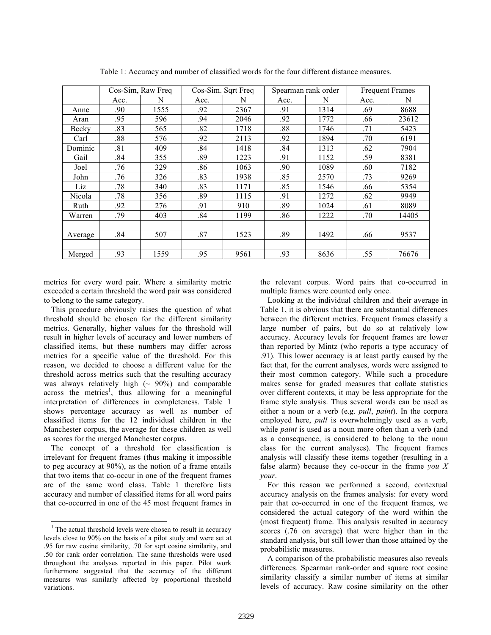|         | Cos-Sim, Raw Freq |      | Cos-Sim. Sqrt Freq |      | Spearman rank order |      | <b>Frequent Frames</b> |       |
|---------|-------------------|------|--------------------|------|---------------------|------|------------------------|-------|
|         | Acc.              | N    | Acc.               | N    | Acc.                | N    | Acc.                   | N     |
| Anne    | .90               | 1555 | .92                | 2367 | .91                 | 1314 | .69                    | 8688  |
| Aran    | .95               | 596  | .94                | 2046 | .92                 | 1772 | .66                    | 23612 |
| Becky   | .83               | 565  | .82                | 1718 | .88                 | 1746 | .71                    | 5423  |
| Carl    | .88               | 576  | .92                | 2113 | .92                 | 1894 | .70                    | 6191  |
| Dominic | .81               | 409  | .84                | 1418 | .84                 | 1313 | .62                    | 7904  |
| Gail    | .84               | 355  | .89                | 1223 | .91                 | 1152 | .59                    | 8381  |
| Joel    | .76               | 329  | .86                | 1063 | .90                 | 1089 | .60                    | 7182  |
| John    | .76               | 326  | .83                | 1938 | .85                 | 2570 | .73                    | 9269  |
| Liz     | .78               | 340  | .83                | 1171 | .85                 | 1546 | .66                    | 5354  |
| Nicola  | .78               | 356  | .89                | 1115 | .91                 | 1272 | .62                    | 9949  |
| Ruth    | .92               | 276  | .91                | 910  | .89                 | 1024 | .61                    | 8089  |
| Warren  | .79               | 403  | .84                | 1199 | .86                 | 1222 | .70                    | 14405 |
|         |                   |      |                    |      |                     |      |                        |       |
| Average | .84               | 507  | .87                | 1523 | .89                 | 1492 | .66                    | 9537  |
|         |                   |      |                    |      |                     |      |                        |       |
| Merged  | .93               | 1559 | .95                | 9561 | .93                 | 8636 | .55                    | 76676 |

Table 1: Accuracy and number of classified words for the four different distance measures.

metrics for every word pair. Where a similarity metric exceeded a certain threshold the word pair was considered to belong to the same category.

This procedure obviously raises the question of what threshold should be chosen for the different similarity metrics. Generally, higher values for the threshold will result in higher levels of accuracy and lower numbers of classified items, but these numbers may differ across metrics for a specific value of the threshold. For this reason, we decided to choose a different value for the threshold across metrics such that the resulting accuracy was always relatively high  $(\sim 90\%)$  and comparable  $across$  the metrics<sup>1</sup>, thus allowing for a meaningful interpretation of differences in completeness. Table 1 shows percentage accuracy as well as number of classified items for the 12 individual children in the Manchester corpus, the average for these children as well as scores for the merged Manchester corpus.

The concept of a threshold for classification is irrelevant for frequent frames (thus making it impossible to peg accuracy at 90%), as the notion of a frame entails that two items that co-occur in one of the frequent frames are of the same word class. Table 1 therefore lists accuracy and number of classified items for all word pairs that co-occurred in one of the 45 most frequent frames in

the relevant corpus. Word pairs that co-occurred in multiple frames were counted only once.

Looking at the individual children and their average in Table 1, it is obvious that there are substantial differences between the different metrics. Frequent frames classify a large number of pairs, but do so at relatively low accuracy. Accuracy levels for frequent frames are lower than reported by Mintz (who reports a type accuracy of .91). This lower accuracy is at least partly caused by the fact that, for the current analyses, words were assigned to their most common category. While such a procedure makes sense for graded measures that collate statistics over different contexts, it may be less appropriate for the frame style analysis. Thus several words can be used as either a noun or a verb (e.g. *pull*, *paint*). In the corpora employed here, *pull* is overwhelmingly used as a verb, while *paint* is used as a noun more often than a verb (and as a consequence, is considered to belong to the noun class for the current analyses). The frequent frames analysis will classify these items together (resulting in a false alarm) because they co-occur in the frame *you X your*.

For this reason we performed a second, contextual accuracy analysis on the frames analysis: for every word pair that co-occurred in one of the frequent frames, we considered the actual category of the word within the (most frequent) frame. This analysis resulted in accuracy scores (.76 on average) that were higher than in the standard analysis, but still lower than those attained by the probabilistic measures.

A comparison of the probabilistic measures also reveals differences. Spearman rank-order and square root cosine similarity classify a similar number of items at similar levels of accuracy. Raw cosine similarity on the other

<sup>&</sup>lt;sup>1</sup> The actual threshold levels were chosen to result in accuracy levels close to 90% on the basis of a pilot study and were set at .95 for raw cosine similarity, .70 for sqrt cosine similarity, and .50 for rank order correlation. The same thresholds were used throughout the analyses reported in this paper. Pilot work furthermore suggested that the accuracy of the different measures was similarly affected by proportional threshold variations.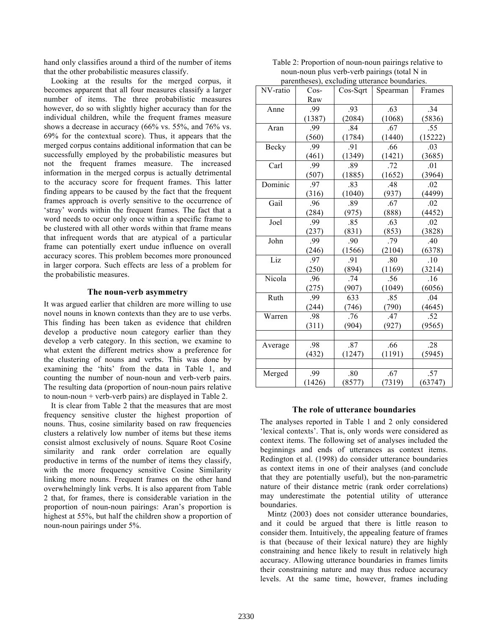hand only classifies around a third of the number of items that the other probabilistic measures classify.

Looking at the results for the merged corpus, it becomes apparent that all four measures classify a larger number of items. The three probabilistic measures however, do so with slightly higher accuracy than for the individual children, while the frequent frames measure shows a decrease in accuracy (66% vs. 55%, and 76% vs. 69% for the contextual score). Thus, it appears that the merged corpus contains additional information that can be successfully employed by the probabilistic measures but not the frequent frames measure. The increased information in the merged corpus is actually detrimental to the accuracy score for frequent frames. This latter finding appears to be caused by the fact that the frequent frames approach is overly sensitive to the occurrence of 'stray' words within the frequent frames. The fact that a word needs to occur only once within a specific frame to be clustered with all other words within that frame means that infrequent words that are atypical of a particular frame can potentially exert undue influence on overall accuracy scores. This problem becomes more pronounced in larger corpora. Such effects are less of a problem for the probabilistic measures.

#### **The noun-verb asymmetry**

It was argued earlier that children are more willing to use novel nouns in known contexts than they are to use verbs. This finding has been taken as evidence that children develop a productive noun category earlier than they develop a verb category. In this section, we examine to what extent the different metrics show a preference for the clustering of nouns and verbs. This was done by examining the 'hits' from the data in Table 1, and counting the number of noun-noun and verb-verb pairs. The resulting data (proportion of noun-noun pairs relative to noun-noun + verb-verb pairs) are displayed in Table 2.

It is clear from Table 2 that the measures that are most frequency sensitive cluster the highest proportion of nouns. Thus, cosine similarity based on raw frequencies clusters a relatively low number of items but these items consist almost exclusively of nouns. Square Root Cosine similarity and rank order correlation are equally productive in terms of the number of items they classify, with the more frequency sensitive Cosine Similarity linking more nouns. Frequent frames on the other hand overwhelmingly link verbs. It is also apparent from Table 2 that, for frames, there is considerable variation in the proportion of noun-noun pairings: Aran's proportion is highest at 55%, but half the children show a proportion of noun-noun pairings under 5%.

Table 2: Proportion of noun-noun pairings relative to noun-noun plus verb-verb pairings (total N in parentheses), excluding utterance boundaries.

| parentifieses), excluding utterance boundaries. |        |          |          |         |  |  |
|-------------------------------------------------|--------|----------|----------|---------|--|--|
| NV-ratio                                        | $Cos-$ | Cos-Sqrt | Spearman | Frames  |  |  |
|                                                 | Raw    |          |          |         |  |  |
| Anne                                            | .99    | .93      | .63      | .34     |  |  |
|                                                 | (1387) | (2084)   | (1068)   | (5836)  |  |  |
| Aran                                            | .99    | .84      | .67      | .55     |  |  |
|                                                 | (560)  | (1784)   | (1440)   | (15222) |  |  |
| Becky                                           | .99    | .91      | .66      | .03     |  |  |
|                                                 | (461)  | (1349)   | (1421)   | (3685)  |  |  |
| Carl                                            | .99    | .89      | .72      | .01     |  |  |
|                                                 | (507)  | (1885)   | (1652)   | (3964)  |  |  |
| Dominic                                         | .97    | .83      | .48      | .02     |  |  |
|                                                 | (316)  | (1040)   | (937)    | (4499)  |  |  |
| Gail                                            | .96    | .89      | .67      | .02     |  |  |
|                                                 | (284)  | (975)    | (888)    | (4452)  |  |  |
| Joel                                            | .99    | .85      | .63      | .02     |  |  |
|                                                 | (237)  | (831)    | (853)    | (3828)  |  |  |
| John                                            | .99    | .90      | .79      | .40     |  |  |
|                                                 | (246)  | (1566)   | (2104)   | (6378)  |  |  |
| Liz                                             | .97    | .91      | .80      | .10     |  |  |
|                                                 | (250)  | (894)    | (1169)   | (3214)  |  |  |
| Nicola                                          | .96    | .74      | .56      | .16     |  |  |
|                                                 | (275)  | (907)    | (1049)   | (6056)  |  |  |
| Ruth                                            | .99    | 633      | .85      | .04     |  |  |
|                                                 | (244)  | (746)    | (790)    | (4645)  |  |  |
| Warren                                          | .98    | .76      | .47      | .52     |  |  |
|                                                 | (311)  | (904)    | (927)    | (9565)  |  |  |
|                                                 |        |          |          |         |  |  |
| Average                                         | .98    | .87      | .66      | .28     |  |  |
|                                                 | (432)  | (1247)   | (1191)   | (5945)  |  |  |
|                                                 |        |          |          |         |  |  |
| Merged                                          | .99    | .80      | .67      | .57     |  |  |
|                                                 | (1426) | (8577)   | (7319)   | (63747) |  |  |

#### **The role of utterance boundaries**

The analyses reported in Table 1 and 2 only considered 'lexical contexts'. That is, only words were considered as context items. The following set of analyses included the beginnings and ends of utterances as context items. Redington et al. (1998) do consider utterance boundaries as context items in one of their analyses (and conclude that they are potentially useful), but the non-parametric nature of their distance metric (rank order correlations) may underestimate the potential utility of utterance boundaries.

Mintz (2003) does not consider utterance boundaries, and it could be argued that there is little reason to consider them. Intuitively, the appealing feature of frames is that (because of their lexical nature) they are highly constraining and hence likely to result in relatively high accuracy. Allowing utterance boundaries in frames limits their constraining nature and may thus reduce accuracy levels. At the same time, however, frames including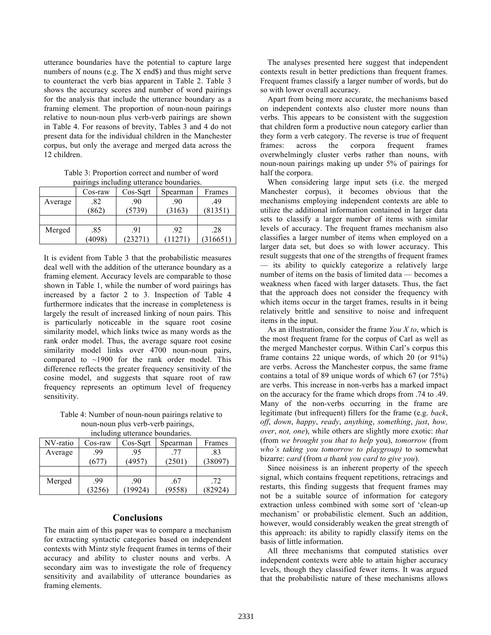utterance boundaries have the potential to capture large numbers of nouns (e.g. The X end\$) and thus might serve to counteract the verb bias apparent in Table 2. Table 3 shows the accuracy scores and number of word pairings for the analysis that include the utterance boundary as a framing element. The proportion of noun-noun pairings relative to noun-noun plus verb-verb pairings are shown in Table 4. For reasons of brevity, Tables 3 and 4 do not present data for the individual children in the Manchester corpus, but only the average and merged data across the 12 children.

Table 3: Proportion correct and number of word pairings including utterance boundaries.

| $p$ and $p$ increasing attentive countant for. |         |            |          |        |  |
|------------------------------------------------|---------|------------|----------|--------|--|
|                                                | Cos-raw | $Cos-Sqrt$ | Spearman | Frames |  |
| Average                                        | .82     | .90        |          | .49    |  |
|                                                | (862)   | (5739)     | (3163)   | 81351  |  |
|                                                |         |            |          |        |  |
| Merged                                         | .85     | .91        | .92      | .28    |  |
|                                                | (4098)  | (23271)    | 271      | 16651  |  |

It is evident from Table 3 that the probabilistic measures deal well with the addition of the utterance boundary as a framing element. Accuracy levels are comparable to those shown in Table 1, while the number of word pairings has increased by a factor 2 to 3. Inspection of Table 4 furthermore indicates that the increase in completeness is largely the result of increased linking of noun pairs. This is particularly noticeable in the square root cosine similarity model, which links twice as many words as the rank order model. Thus, the average square root cosine similarity model links over 4700 noun-noun pairs, compared to  $\sim$ 1900 for the rank order model. This difference reflects the greater frequency sensitivity of the cosine model, and suggests that square root of raw frequency represents an optimum level of frequency sensitivity.

Table 4: Number of noun-noun pairings relative to noun-noun plus verb-verb pairings,

| including utterance boundaries. |         |            |          |         |  |  |
|---------------------------------|---------|------------|----------|---------|--|--|
| NV-ratio                        | Cos-raw | $Cos-Sqrt$ | Spearman | Frames  |  |  |
| Average                         | .99     | .95        | -77      | .83     |  |  |
|                                 | (677)   | (4957)     | (2501)   | (38097) |  |  |
|                                 |         |            |          |         |  |  |
| Merged                          | .99     | .90        | .67      | .72     |  |  |
|                                 | (3256)  | 19924)     | (9558)   | (82924) |  |  |

### **Conclusions**

The main aim of this paper was to compare a mechanism for extracting syntactic categories based on independent contexts with Mintz style frequent frames in terms of their accuracy and ability to cluster nouns and verbs. A secondary aim was to investigate the role of frequency sensitivity and availability of utterance boundaries as framing elements.

The analyses presented here suggest that independent contexts result in better predictions than frequent frames. Frequent frames classify a larger number of words, but do so with lower overall accuracy.

Apart from being more accurate, the mechanisms based on independent contexts also cluster more nouns than verbs. This appears to be consistent with the suggestion that children form a productive noun category earlier than they form a verb category. The reverse is true of frequent frames: across the corpora frequent frames overwhelmingly cluster verbs rather than nouns, with noun-noun pairings making up under 5% of pairings for half the corpora.

When considering large input sets (i.e. the merged Manchester corpus), it becomes obvious that the mechanisms employing independent contexts are able to utilize the additional information contained in larger data sets to classify a larger number of items with similar levels of accuracy. The frequent frames mechanism also classifies a larger number of items when employed on a larger data set, but does so with lower accuracy. This result suggests that one of the strengths of frequent frames — its ability to quickly categorize a relatively large number of items on the basis of limited data — becomes a weakness when faced with larger datasets. Thus, the fact that the approach does not consider the frequency with which items occur in the target frames, results in it being relatively brittle and sensitive to noise and infrequent items in the input.

As an illustration, consider the frame *You X to*, which is the most frequent frame for the corpus of Carl as well as the merged Manchester corpus. Within Carl's corpus this frame contains 22 unique words, of which 20 (or 91%) are verbs. Across the Manchester corpus, the same frame contains a total of 89 unique words of which 67 (or 75%) are verbs. This increase in non-verbs has a marked impact on the accuracy for the frame which drops from .74 to .49. Many of the non-verbs occurring in the frame are legitimate (but infrequent) fillers for the frame (e.g. *back*, *off*, *down*, *happy*, *ready*, *anything*, *something*, *just*, *how, over*, *not, one*), while others are slightly more exotic: *that* (from *we brought you that to help* you), *tomorrow* (from *who's taking you tomorrow to playgroup)* to somewhat bizarre: *card* (from *a thank you card to give you*).

Since noisiness is an inherent property of the speech signal, which contains frequent repetitions, retracings and restarts, this finding suggests that frequent frames may not be a suitable source of information for category extraction unless combined with some sort of 'clean-up mechanism' or probabilistic element. Such an addition, however, would considerably weaken the great strength of this approach: its ability to rapidly classify items on the basis of little information.

All three mechanisms that computed statistics over independent contexts were able to attain higher accuracy levels, though they classified fewer items. It was argued that the probabilistic nature of these mechanisms allows